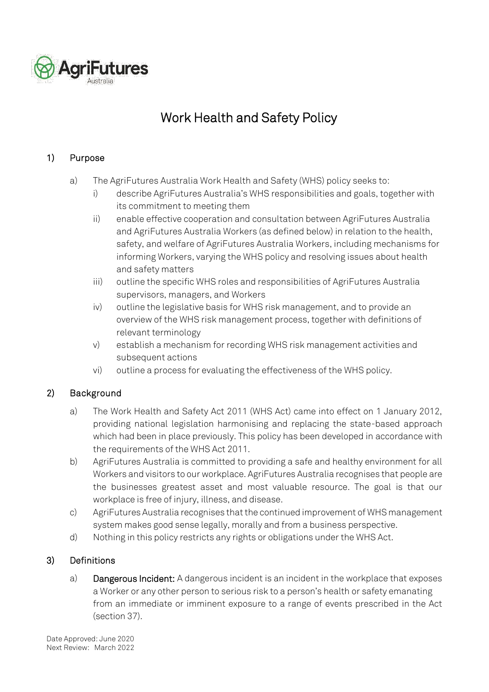

# Work Health and Safety Policy

## 1) Purpose

- a) The AgriFutures Australia Work Health and Safety (WHS) policy seeks to:
	- i) describe AgriFutures Australia's WHS responsibilities and goals, together with its commitment to meeting them
	- ii) enable effective cooperation and consultation between AgriFutures Australia and AgriFutures Australia Workers (as defined below) in relation to the health, safety, and welfare of AgriFutures Australia Workers, including mechanisms for informing Workers, varying the WHS policy and resolving issues about health and safety matters
	- iii) outline the specific WHS roles and responsibilities of AgriFutures Australia supervisors, managers, and Workers
	- iv) outline the legislative basis for WHS risk management, and to provide an overview of the WHS risk management process, together with definitions of relevant terminology
	- v) establish a mechanism for recording WHS risk management activities and subsequent actions
	- vi) outline a process for evaluating the effectiveness of the WHS policy.

## 2) Background

- a) The Work Health and Safety Act 2011 (WHS Act) came into effect on 1 January 2012, providing national legislation harmonising and replacing the state-based approach which had been in place previously. This policy has been developed in accordance with the requirements of the WHS Act 2011.
- b) AgriFutures Australia is committed to providing a safe and healthy environment for all Workers and visitors to our workplace. AgriFutures Australia recognises that people are the businesses greatest asset and most valuable resource. The goal is that our workplace is free of injury, illness, and disease.
- c) AgriFutures Australia recognises that the continued improvement of WHS management system makes good sense legally, morally and from a business perspective.
- d) Nothing in this policy restricts any rights or obligations under the WHS Act.

## 3) Definitions

a) Dangerous Incident: A dangerous incident is an incident in the workplace that exposes a Worker or any other person to serious risk to a person's health or safety emanating from an immediate or imminent exposure to a range of events prescribed in the Act (section 37).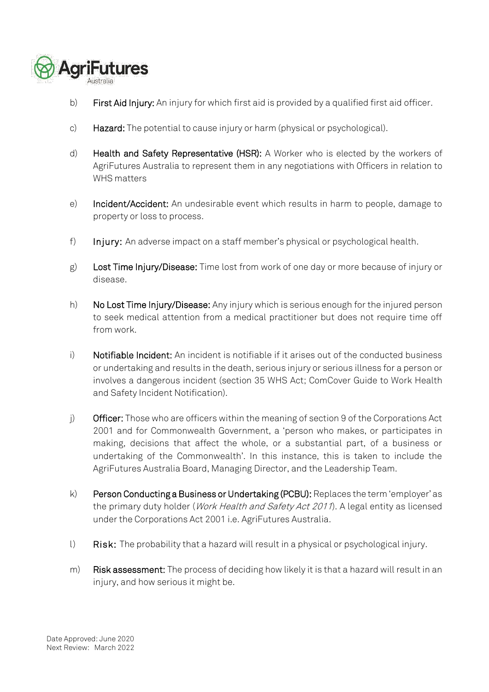

- b) First Aid Injury: An injury for which first aid is provided by a qualified first aid officer.
- c) Hazard: The potential to cause injury or harm (physical or psychological).
- d) Health and Safety Representative (HSR): A Worker who is elected by the workers of AgriFutures Australia to represent them in any negotiations with Officers in relation to WHS matters
- e) Incident/Accident: An undesirable event which results in harm to people, damage to property or loss to process.
- f) Injury: An adverse impact on a staff member's physical or psychological health.
- g) Lost Time Injury/Disease: Time lost from work of one day or more because of injury or disease.
- h) No Lost Time Injury/Disease: Any injury which is serious enough for the injured person to seek medical attention from a medical practitioner but does not require time off from work.
- i) Notifiable Incident: An incident is notifiable if it arises out of the conducted business or undertaking and results in the death, serious injury or serious illness for a person or involves a dangerous incident (section 35 WHS Act; ComCover Guide to Work Health and Safety Incident Notification).
- $j$  Officer: Those who are officers within the meaning of section 9 of the Corporations Act 2001 and for Commonwealth Government, a 'person who makes, or participates in making, decisions that affect the whole, or a substantial part, of a business or undertaking of the Commonwealth'. In this instance, this is taken to include the AgriFutures Australia Board, Managing Director, and the Leadership Team.
- k) Person Conducting a Business or Undertaking (PCBU): Replaces the term 'employer' as the primary duty holder (Work Health and Safety Act 2011). A legal entity as licensed under the Corporations Act 2001 i.e. AgriFutures Australia.
- l) Risk: The probability that a hazard will result in a physical or psychological injury.
- m) Risk assessment: The process of deciding how likely it is that a hazard will result in an injury, and how serious it might be.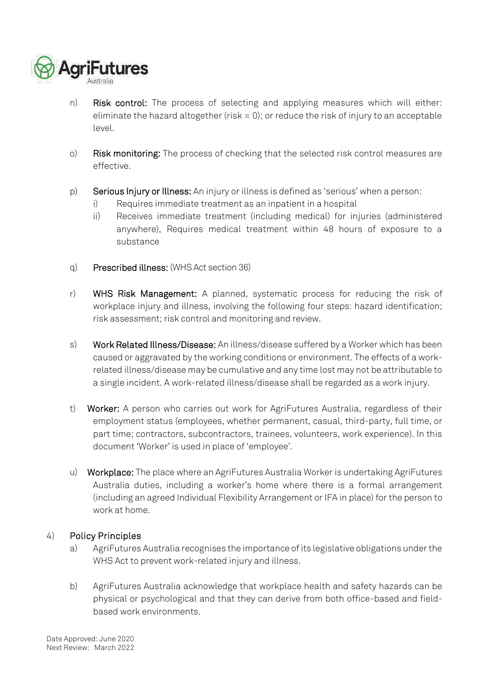

- n) Risk control: The process of selecting and applying measures which will either: eliminate the hazard altogether (risk  $= 0$ ); or reduce the risk of injury to an acceptable level.
- o) Risk monitoring: The process of checking that the selected risk control measures are effective.
- p) Serious Injury or Illness: An injury or illness is defined as 'serious' when a person:
	- i) Requires immediate treatment as an inpatient in a hospital
	- ii) Receives immediate treatment (including medical) for injuries (administered anywhere), Requires medical treatment within 48 hours of exposure to a substance
- q) Prescribed illness: (WHS Act section 36)
- r) WHS Risk Management: A planned, systematic process for reducing the risk of workplace injury and illness, involving the following four steps: hazard identification; risk assessment; risk control and monitoring and review.
- s) Work Related Illness/Disease: An illness/disease suffered by a Worker which has been caused or aggravated by the working conditions or environment. The effects of a workrelated illness/disease may be cumulative and any time lost may not be attributable to a single incident. A work-related illness/disease shall be regarded as a work injury.
- t) Worker: A person who carries out work for AgriFutures Australia, regardless of their employment status (employees, whether permanent, casual, third-party, full time, or part time; contractors, subcontractors, trainees, volunteers, work experience). In this document 'Worker' is used in place of 'employee'.
- u) Workplace: The place where an AgriFutures Australia Worker is undertaking AgriFutures Australia duties, including a worker's home where there is a formal arrangement (including an agreed Individual Flexibility Arrangement or IFA in place) for the person to work at home.

## 4) Policy Principles

- a) AgriFutures Australia recognises the importance of its legislative obligations under the WHS Act to prevent work-related injury and illness.
- b) AgriFutures Australia acknowledge that workplace health and safety hazards can be physical or psychological and that they can derive from both office-based and fieldbased work environments.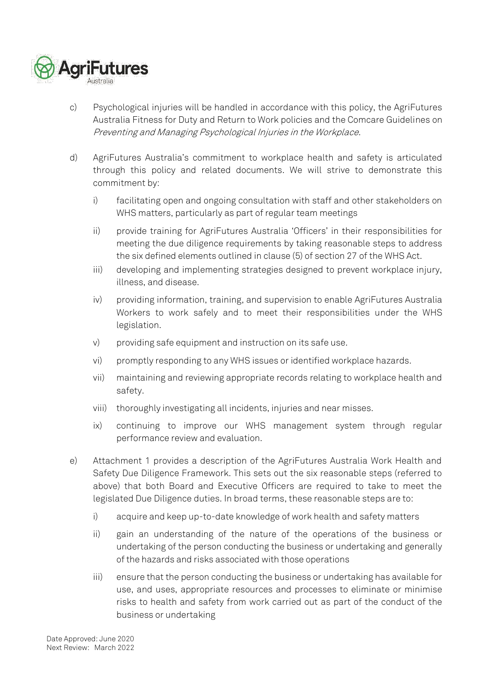

- c) Psychological injuries will be handled in accordance with this policy, the AgriFutures Australia Fitness for Duty and Return to Work policies and the Comcare Guidelines on Preventing and Managing Psychological Injuries in the Workplace.
- d) AgriFutures Australia's commitment to workplace health and safety is articulated through this policy and related documents. We will strive to demonstrate this commitment by:
	- i) facilitating open and ongoing consultation with staff and other stakeholders on WHS matters, particularly as part of regular team meetings
	- ii) provide training for AgriFutures Australia 'Officers' in their responsibilities for meeting the due diligence requirements by taking reasonable steps to address the six defined elements outlined in clause (5) of section 27 of the WHS Act.
	- iii) developing and implementing strategies designed to prevent workplace injury, illness, and disease.
	- iv) providing information, training, and supervision to enable AgriFutures Australia Workers to work safely and to meet their responsibilities under the WHS legislation.
	- v) providing safe equipment and instruction on its safe use.
	- vi) promptly responding to any WHS issues or identified workplace hazards.
	- vii) maintaining and reviewing appropriate records relating to workplace health and safety.
	- viii) thoroughly investigating all incidents, injuries and near misses.
	- ix) continuing to improve our WHS management system through regular performance review and evaluation.
- e) Attachment 1 provides a description of the AgriFutures Australia Work Health and Safety Due Diligence Framework. This sets out the six reasonable steps (referred to above) that both Board and Executive Officers are required to take to meet the legislated Due Diligence duties. In broad terms, these reasonable steps are to:
	- i) acquire and keep up-to-date knowledge of work health and safety matters
	- ii) gain an understanding of the nature of the operations of the business or undertaking of the person conducting the business or undertaking and generally of the hazards and risks associated with those operations
	- iii) ensure that the person conducting the business or undertaking has available for use, and uses, appropriate resources and processes to eliminate or minimise risks to health and safety from work carried out as part of the conduct of the business or undertaking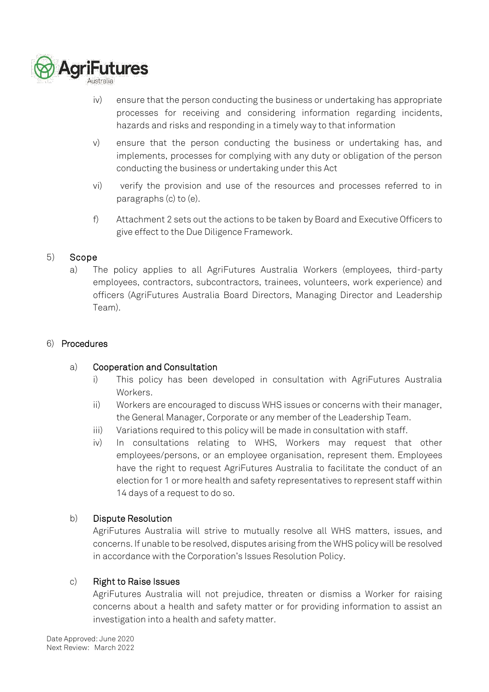

- iv) ensure that the person conducting the business or undertaking has appropriate processes for receiving and considering information regarding incidents, hazards and risks and responding in a timely way to that information
- v) ensure that the person conducting the business or undertaking has, and implements, processes for complying with any duty or obligation of the person conducting the business or undertaking under this Act
- vi) verify the provision and use of the resources and processes referred to in paragraphs (c) to (e).
- f) Attachment 2 sets out the actions to be taken by Board and Executive Officers to give effect to the Due Diligence Framework.

## 5) Scope

a) The policy applies to all AgriFutures Australia Workers (employees, third-party employees, contractors, subcontractors, trainees, volunteers, work experience) and officers (AgriFutures Australia Board Directors, Managing Director and Leadership Team).

#### 6) Procedures

## a) Cooperation and Consultation

- i) This policy has been developed in consultation with AgriFutures Australia Workers.
- ii) Workers are encouraged to discuss WHS issues or concerns with their manager, the General Manager, Corporate or any member of the Leadership Team.
- iii) Variations required to this policy will be made in consultation with staff.
- iv) In consultations relating to WHS, Workers may request that other employees/persons, or an employee organisation, represent them. Employees have the right to request AgriFutures Australia to facilitate the conduct of an election for 1 or more health and safety representatives to represent staff within 14 days of a request to do so.

## b) Dispute Resolution

AgriFutures Australia will strive to mutually resolve all WHS matters, issues, and concerns. If unable to be resolved, disputes arising from the WHS policy will be resolved in accordance with the Corporation's Issues Resolution Policy.

## c) Right to Raise Issues

AgriFutures Australia will not prejudice, threaten or dismiss a Worker for raising concerns about a health and safety matter or for providing information to assist an investigation into a health and safety matter.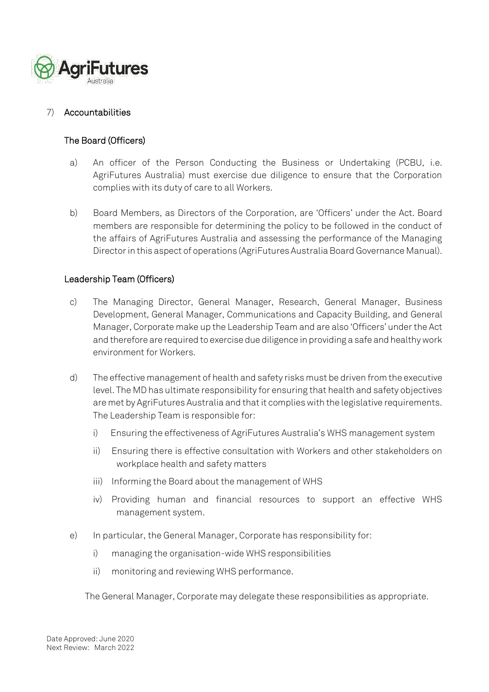

#### 7) Accountabilities

#### The Board (Officers)

- a) An officer of the Person Conducting the Business or Undertaking (PCBU, i.e. AgriFutures Australia) must exercise due diligence to ensure that the Corporation complies with its duty of care to all Workers.
- b) Board Members, as Directors of the Corporation, are 'Officers' under the Act. Board members are responsible for determining the policy to be followed in the conduct of the affairs of AgriFutures Australia and assessing the performance of the Managing Director in this aspect of operations (AgriFutures Australia Board Governance Manual).

#### Leadership Team (Officers)

- c) The Managing Director, General Manager, Research, General Manager, Business Development, General Manager, Communications and Capacity Building, and General Manager, Corporate make up the Leadership Team and are also 'Officers' under the Act and therefore are required to exercise due diligence in providing a safe and healthy work environment for Workers.
- d) The effective management of health and safety risks must be driven from the executive level. The MD has ultimate responsibility for ensuring that health and safety objectives are met by AgriFutures Australia and that it complies with the legislative requirements. The Leadership Team is responsible for:
	- i) Ensuring the effectiveness of AgriFutures Australia's WHS management system
	- ii) Ensuring there is effective consultation with Workers and other stakeholders on workplace health and safety matters
	- iii) Informing the Board about the management of WHS
	- iv) Providing human and financial resources to support an effective WHS management system.
- e) In particular, the General Manager, Corporate has responsibility for:
	- i) managing the organisation-wide WHS responsibilities
	- ii) monitoring and reviewing WHS performance.

The General Manager, Corporate may delegate these responsibilities as appropriate.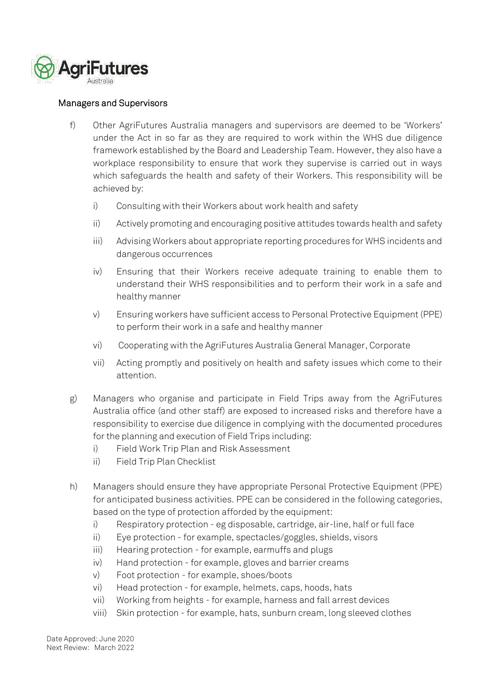

#### Managers and Supervisors

- f) Other AgriFutures Australia managers and supervisors are deemed to be 'Workers' under the Act in so far as they are required to work within the WHS due diligence framework established by the Board and Leadership Team. However, they also have a workplace responsibility to ensure that work they supervise is carried out in ways which safeguards the health and safety of their Workers. This responsibility will be achieved by:
	- i) Consulting with their Workers about work health and safety
	- ii) Actively promoting and encouraging positive attitudes towards health and safety
	- iii) Advising Workers about appropriate reporting procedures for WHS incidents and dangerous occurrences
	- iv) Ensuring that their Workers receive adequate training to enable them to understand their WHS responsibilities and to perform their work in a safe and healthy manner
	- v) Ensuring workers have sufficient access to Personal Protective Equipment (PPE) to perform their work in a safe and healthy manner
	- vi) Cooperating with the AgriFutures Australia General Manager, Corporate
	- vii) Acting promptly and positively on health and safety issues which come to their attention.
- g) Managers who organise and participate in Field Trips away from the AgriFutures Australia office (and other staff) are exposed to increased risks and therefore have a responsibility to exercise due diligence in complying with the documented procedures for the planning and execution of Field Trips including:
	- i) Field Work Trip Plan and Risk Assessment
	- ii) Field Trip Plan Checklist
- h) Managers should ensure they have appropriate Personal Protective Equipment (PPE) for anticipated business activities. PPE can be considered in the following categories, based on the type of protection afforded by the equipment:
	- i) Respiratory protection eg disposable, cartridge, air-line, half or full face
	- ii) Eye protection for example, spectacles/goggles, shields, visors
	- iii) Hearing protection for example, earmuffs and plugs
	- iv) Hand protection for example, gloves and barrier creams
	- v) Foot protection for example, shoes/boots
	- vi) Head protection for example, helmets, caps, hoods, hats
	- vii) Working from heights for example, harness and fall arrest devices
	- viii) Skin protection for example, hats, sunburn cream, long sleeved clothes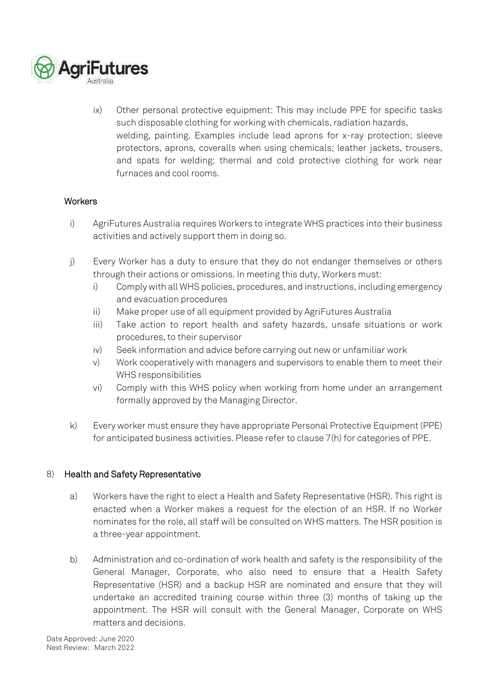

ix) Other personal protective equipment: This may include PPE for specific tasks such disposable clothing for working with chemicals, radiation hazards, welding, painting. Examples include lead aprons for x-ray protection; sleeve protectors, aprons, coveralls when using chemicals; leather jackets, trousers, and spats for welding; thermal and cold protective clothing for work near furnaces and cool rooms.

#### **Workers**

- i) AgriFutures Australia requires Workers to integrate WHS practices into their business activities and actively support them in doing so.
- j) Every Worker has a duty to ensure that they do not endanger themselves or others through their actions or omissions. In meeting this duty, Workers must:
	- i) Comply with all WHS policies, procedures, and instructions, including emergency and evacuation procedures
	- ii) Make proper use of all equipment provided by AgriFutures Australia
	- iii) Take action to report health and safety hazards, unsafe situations or work procedures, to their supervisor
	- iv) Seek information and advice before carrying out new or unfamiliar work
	- v) Work cooperatively with managers and supervisors to enable them to meet their WHS responsibilities
	- vi) Comply with this WHS policy when working from home under an arrangement formally approved by the Managing Director.
- k) Every worker must ensure they have appropriate Personal Protective Equipment (PPE) for anticipated business activities. Please refer to clause 7(h) for categories of PPE.

#### 8) Health and Safety Representative

- a) Workers have the right to elect a Health and Safety Representative (HSR). This right is enacted when a Worker makes a request for the election of an HSR. If no Worker nominates for the role, all staff will be consulted on WHS matters. The HSR position is a three-year appointment.
- b) Administration and co-ordination of work health and safety is the responsibility of the General Manager, Corporate, who also need to ensure that a Health Safety Representative (HSR) and a backup HSR are nominated and ensure that they will undertake an accredited training course within three (3) months of taking up the appointment. The HSR will consult with the General Manager, Corporate on WHS matters and decisions.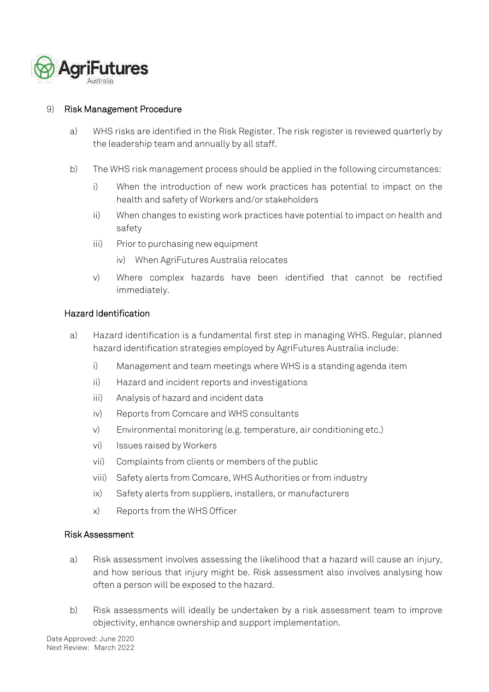

#### 9) Risk Management Procedure

- a) WHS risks are identified in the Risk Register. The risk register is reviewed quarterly by the leadership team and annually by all staff.
- b) The WHS risk management process should be applied in the following circumstances:
	- i) When the introduction of new work practices has potential to impact on the health and safety of Workers and/or stakeholders
	- ii) When changes to existing work practices have potential to impact on health and safety
	- iii) Prior to purchasing new equipment
		- iv) When AgriFutures Australia relocates
	- v) Where complex hazards have been identified that cannot be rectified immediately.

#### Hazard Identification

- a) Hazard identification is a fundamental first step in managing WHS. Regular, planned hazard identification strategies employed by AgriFutures Australia include:
	- i) Management and team meetings where WHS is a standing agenda item
	- ii) Hazard and incident reports and investigations
	- iii) Analysis of hazard and incident data
	- iv) Reports from Comcare and WHS consultants
	- v) Environmental monitoring (e.g. temperature, air conditioning etc.)
	- vi) Issues raised by Workers
	- vii) Complaints from clients or members of the public
	- viii) Safety alerts from Comcare, WHS Authorities or from industry
	- ix) Safety alerts from suppliers, installers, or manufacturers
	- x) Reports from the WHS Officer

#### Risk Assessment

- a) Risk assessment involves assessing the likelihood that a hazard will cause an injury, and how serious that injury might be. Risk assessment also involves analysing how often a person will be exposed to the hazard.
- b) Risk assessments will ideally be undertaken by a risk assessment team to improve objectivity, enhance ownership and support implementation.

Date Approved: June 2020 Next Review: March 2022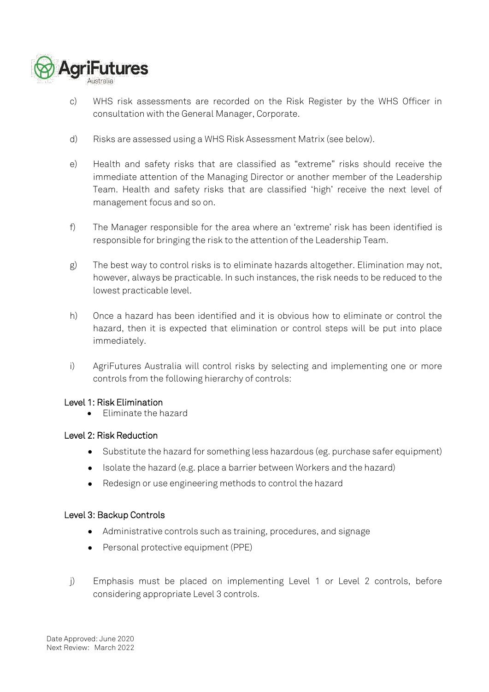

- c) WHS risk assessments are recorded on the Risk Register by the WHS Officer in consultation with the General Manager, Corporate.
- d) Risks are assessed using a WHS Risk Assessment Matrix (see below).
- e) Health and safety risks that are classified as "extreme" risks should receive the immediate attention of the Managing Director or another member of the Leadership Team. Health and safety risks that are classified 'high' receive the next level of management focus and so on.
- f) The Manager responsible for the area where an 'extreme' risk has been identified is responsible for bringing the risk to the attention of the Leadership Team.
- g) The best way to control risks is to eliminate hazards altogether. Elimination may not, however, always be practicable. In such instances, the risk needs to be reduced to the lowest practicable level.
- h) Once a hazard has been identified and it is obvious how to eliminate or control the hazard, then it is expected that elimination or control steps will be put into place immediately.
- i) AgriFutures Australia will control risks by selecting and implementing one or more controls from the following hierarchy of controls:

#### Level 1: Risk Elimination

• Eliminate the hazard

#### Level 2: Risk Reduction

- Substitute the hazard for something less hazardous (eg. purchase safer equipment)
- Isolate the hazard (e.g. place a barrier between Workers and the hazard)
- Redesign or use engineering methods to control the hazard

#### Level 3: Backup Controls

- Administrative controls such as training, procedures, and signage
- Personal protective equipment (PPE)
- j) Emphasis must be placed on implementing Level 1 or Level 2 controls, before considering appropriate Level 3 controls.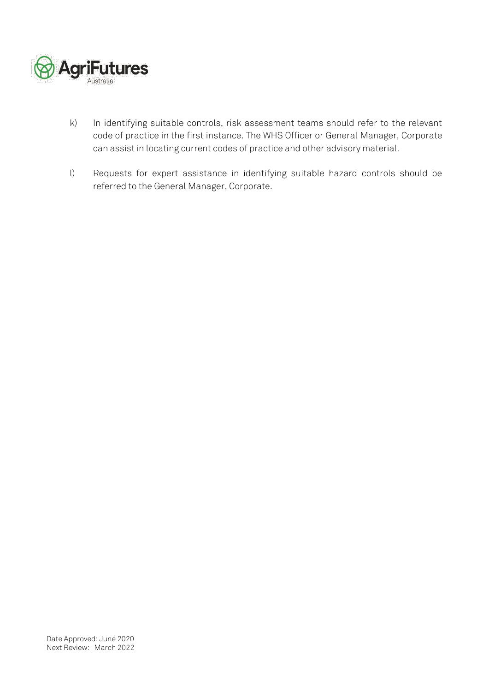

- k) In identifying suitable controls, risk assessment teams should refer to the relevant code of practice in the first instance. The WHS Officer or General Manager, Corporate can assist in locating current codes of practice and other advisory material.
- l) Requests for expert assistance in identifying suitable hazard controls should be referred to the General Manager, Corporate.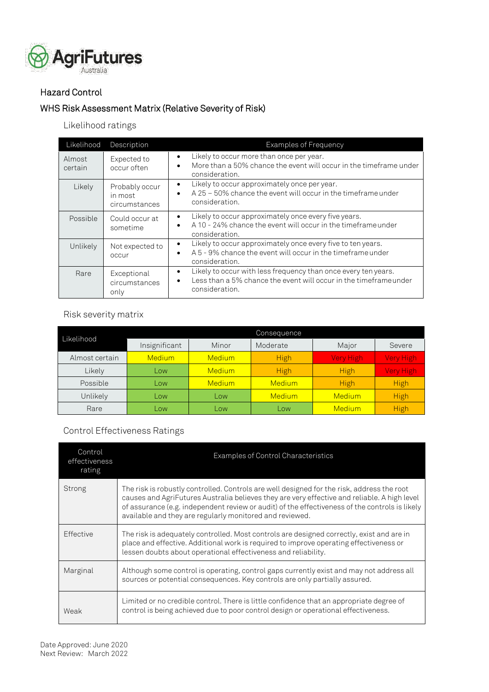

## Hazard Control

## WHS Risk Assessment Matrix (Relative Severity of Risk)

## Likelihood ratings

| Likelihood        | <b>Description</b>                         | <b>Examples of Frequency</b>                                                                                                                                            |
|-------------------|--------------------------------------------|-------------------------------------------------------------------------------------------------------------------------------------------------------------------------|
| Almost<br>certain | Expected to<br>occur often                 | Likely to occur more than once per year.<br>٠<br>More than a 50% chance the event will occur in the timeframe under<br>$\bullet$<br>consideration.                      |
| Likely            | Probably occur<br>in most<br>circumstances | Likely to occur approximately once per year.<br>$\bullet$<br>A 25 - 50% chance the event will occur in the timeframe under<br>$\bullet$<br>consideration.               |
| Possible          | Could occur at<br>sometime                 | Likely to occur approximately once every five years.<br>$\bullet$<br>A 10 - 24% chance the event will occur in the timeframe under<br>$\bullet$<br>consideration.       |
| Unlikely          | Not expected to<br>occur                   | Likely to occur approximately once every five to ten years.<br>$\bullet$<br>A 5 - 9% chance the event will occur in the timeframe under<br>$\bullet$<br>consideration.  |
| Rare              | Exceptional<br>circumstances<br>only       | Likely to occur with less frequency than once every ten years.<br>٠<br>Less than a 5% chance the event will occur in the timeframe under<br>$\bullet$<br>consideration. |

#### Risk severity matrix

|                | Consequence   |        |               |               |                  |
|----------------|---------------|--------|---------------|---------------|------------------|
| Likelihood     | Insignificant | Minor  | Moderate      | Major         | Severe           |
| Almost certain | <b>Medium</b> | Medium | <b>High</b>   | Very High     | Very High        |
| Likely         | Low           | Medium | <b>High</b>   | <b>High</b>   | <b>Very High</b> |
| Possible       | Low           | Medium | <b>Medium</b> | <b>High</b>   | <b>High</b>      |
| Unlikely       | Low           | Low    | <b>Medium</b> | Medium        | <b>High</b>      |
| Rare           | Low           | Low    | Low           | <b>Medium</b> | High             |

## Control Effectiveness Ratings

| Control<br>effectiveness<br>rating | Examples of Control Characteristics                                                                                                                                                                                                                                                                                                                      |
|------------------------------------|----------------------------------------------------------------------------------------------------------------------------------------------------------------------------------------------------------------------------------------------------------------------------------------------------------------------------------------------------------|
| Strong                             | The risk is robustly controlled. Controls are well designed for the risk, address the root<br>causes and AgriFutures Australia believes they are very effective and reliable. A high level<br>of assurance (e.g. independent review or audit) of the effectiveness of the controls is likely<br>available and they are regularly monitored and reviewed. |
| Effective                          | The risk is adequately controlled. Most controls are designed correctly, exist and are in<br>place and effective. Additional work is required to improve operating effectiveness or<br>lessen doubts about operational effectiveness and reliability.                                                                                                    |
| Marginal                           | Although some control is operating, control gaps currently exist and may not address all<br>sources or potential consequences. Key controls are only partially assured.                                                                                                                                                                                  |
| Weak                               | Limited or no credible control. There is little confidence that an appropriate degree of<br>control is being achieved due to poor control design or operational effectiveness.                                                                                                                                                                           |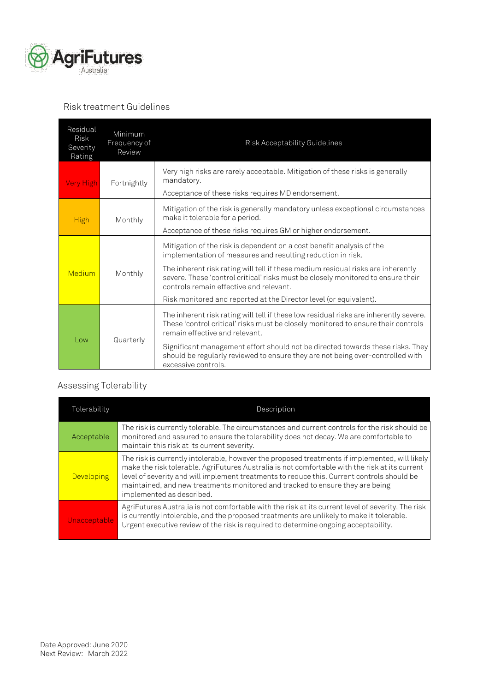

#### Risk treatment Guidelines

| Residual<br><b>Risk</b><br>Severity<br>Rating | Minimum<br>Frequency of<br>Review | Risk Acceptability Guidelines                                                                                                                                                                                                                                                                                                                                                                                                 |
|-----------------------------------------------|-----------------------------------|-------------------------------------------------------------------------------------------------------------------------------------------------------------------------------------------------------------------------------------------------------------------------------------------------------------------------------------------------------------------------------------------------------------------------------|
| <b>Very High</b>                              | Fortnightly                       | Very high risks are rarely acceptable. Mitigation of these risks is generally<br>mandatory.<br>Acceptance of these risks requires MD endorsement.                                                                                                                                                                                                                                                                             |
| <b>High</b>                                   | Monthly                           | Mitigation of the risk is generally mandatory unless exceptional circumstances<br>make it tolerable for a period.<br>Acceptance of these risks requires GM or higher endorsement.                                                                                                                                                                                                                                             |
| Medium                                        | Monthly                           | Mitigation of the risk is dependent on a cost benefit analysis of the<br>implementation of measures and resulting reduction in risk.<br>The inherent risk rating will tell if these medium residual risks are inherently<br>severe. These 'control critical' risks must be closely monitored to ensure their<br>controls remain effective and relevant.<br>Risk monitored and reported at the Director level (or equivalent). |
| Low                                           | Quarterly                         | The inherent risk rating will tell if these low residual risks are inherently severe.<br>These 'control critical' risks must be closely monitored to ensure their controls<br>remain effective and relevant.<br>Significant management effort should not be directed towards these risks. They<br>should be regularly reviewed to ensure they are not being over-controlled with<br>excessive controls.                       |

## Assessing Tolerability

| Tolerability      | Description                                                                                                                                                                                                                                                                                                                                                                                                  |
|-------------------|--------------------------------------------------------------------------------------------------------------------------------------------------------------------------------------------------------------------------------------------------------------------------------------------------------------------------------------------------------------------------------------------------------------|
| Acceptable        | The risk is currently tolerable. The circumstances and current controls for the risk should be<br>monitored and assured to ensure the tolerability does not decay. We are comfortable to<br>maintain this risk at its current severity.                                                                                                                                                                      |
| <b>Developing</b> | The risk is currently intolerable, however the proposed treatments if implemented, will likely<br>make the risk tolerable. AgriFutures Australia is not comfortable with the risk at its current<br>level of severity and will implement treatments to reduce this. Current controls should be<br>maintained, and new treatments monitored and tracked to ensure they are being<br>implemented as described. |
| Unacceptable      | AgriFutures Australia is not comfortable with the risk at its current level of severity. The risk<br>is currently intolerable, and the proposed treatments are unlikely to make it tolerable.<br>Urgent executive review of the risk is required to determine ongoing acceptability.                                                                                                                         |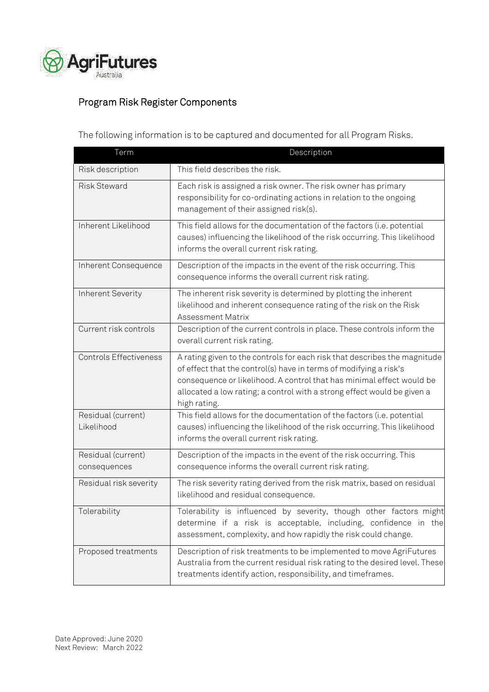

## Program Risk Register Components

The following information is to be captured and documented for all Program Risks.

| Term                               | Description                                                                                                                                                                                                                                                                                                        |
|------------------------------------|--------------------------------------------------------------------------------------------------------------------------------------------------------------------------------------------------------------------------------------------------------------------------------------------------------------------|
| Risk description                   | This field describes the risk.                                                                                                                                                                                                                                                                                     |
| <b>Risk Steward</b>                | Each risk is assigned a risk owner. The risk owner has primary<br>responsibility for co-ordinating actions in relation to the ongoing<br>management of their assigned risk(s).                                                                                                                                     |
| Inherent Likelihood                | This field allows for the documentation of the factors (i.e. potential<br>causes) influencing the likelihood of the risk occurring. This likelihood<br>informs the overall current risk rating.                                                                                                                    |
| Inherent Consequence               | Description of the impacts in the event of the risk occurring. This<br>consequence informs the overall current risk rating.                                                                                                                                                                                        |
| Inherent Severity                  | The inherent risk severity is determined by plotting the inherent<br>likelihood and inherent consequence rating of the risk on the Risk<br>Assessment Matrix                                                                                                                                                       |
| Current risk controls              | Description of the current controls in place. These controls inform the<br>overall current risk rating.                                                                                                                                                                                                            |
| <b>Controls Effectiveness</b>      | A rating given to the controls for each risk that describes the magnitude<br>of effect that the control(s) have in terms of modifying a risk's<br>consequence or likelihood. A control that has minimal effect would be<br>allocated a low rating; a control with a strong effect would be given a<br>high rating. |
| Residual (current)<br>Likelihood   | This field allows for the documentation of the factors (i.e. potential<br>causes) influencing the likelihood of the risk occurring. This likelihood<br>informs the overall current risk rating.                                                                                                                    |
| Residual (current)<br>consequences | Description of the impacts in the event of the risk occurring. This<br>consequence informs the overall current risk rating.                                                                                                                                                                                        |
| Residual risk severity             | The risk severity rating derived from the risk matrix, based on residual<br>likelihood and residual consequence.                                                                                                                                                                                                   |
| Tolerability                       | Tolerability is influenced by severity, though other factors might<br>determine if a risk is acceptable, including, confidence in the<br>assessment, complexity, and how rapidly the risk could change.                                                                                                            |
| Proposed treatments                | Description of risk treatments to be implemented to move AgriFutures<br>Australia from the current residual risk rating to the desired level. These<br>treatments identify action, responsibility, and timeframes.                                                                                                 |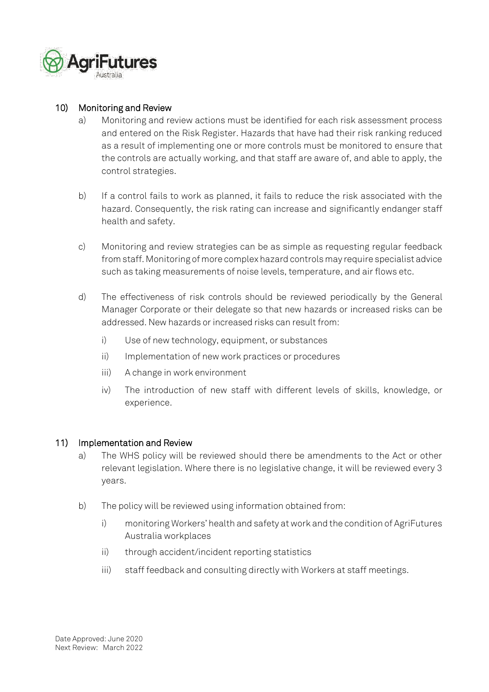

## 10) Monitoring and Review

- a) Monitoring and review actions must be identified for each risk assessment process and entered on the Risk Register. Hazards that have had their risk ranking reduced as a result of implementing one or more controls must be monitored to ensure that the controls are actually working, and that staff are aware of, and able to apply, the control strategies.
- b) If a control fails to work as planned, it fails to reduce the risk associated with the hazard. Consequently, the risk rating can increase and significantly endanger staff health and safety.
- c) Monitoring and review strategies can be as simple as requesting regular feedback from staff. Monitoring of more complex hazard controls may require specialist advice such as taking measurements of noise levels, temperature, and air flows etc.
- d) The effectiveness of risk controls should be reviewed periodically by the General Manager Corporate or their delegate so that new hazards or increased risks can be addressed. New hazards or increased risks can result from:
	- i) Use of new technology, equipment, or substances
	- ii) Implementation of new work practices or procedures
	- iii) A change in work environment
	- iv) The introduction of new staff with different levels of skills, knowledge, or experience.

#### 11) Implementation and Review

- a) The WHS policy will be reviewed should there be amendments to the Act or other relevant legislation. Where there is no legislative change, it will be reviewed every 3 years.
- b) The policy will be reviewed using information obtained from:
	- i) monitoring Workers' health and safety at work and the condition of AgriFutures Australia workplaces
	- ii) through accident/incident reporting statistics
	- iii) staff feedback and consulting directly with Workers at staff meetings.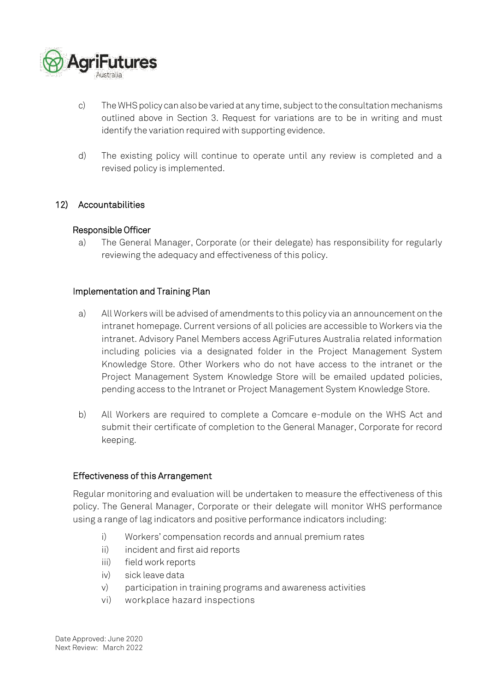

- c) The WHS policy can also be varied at any time, subject to the consultation mechanisms outlined above in Section 3. Request for variations are to be in writing and must identify the variation required with supporting evidence.
- d) The existing policy will continue to operate until any review is completed and a revised policy is implemented.

#### 12) Accountabilities

#### Responsible Officer

a) The General Manager, Corporate (or their delegate) has responsibility for regularly reviewing the adequacy and effectiveness of this policy.

#### Implementation and Training Plan

- a) All Workers will be advised of amendments to this policy via an announcement on the intranet homepage. Current versions of all policies are accessible to Workers via the intranet. Advisory Panel Members access AgriFutures Australia related information including policies via a designated folder in the Project Management System Knowledge Store. Other Workers who do not have access to the intranet or the Project Management System Knowledge Store will be emailed updated policies, pending access to the Intranet or Project Management System Knowledge Store.
- b) All Workers are required to complete a Comcare e-module on the WHS Act and submit their certificate of completion to the General Manager, Corporate for record keeping.

#### Effectiveness of this Arrangement

Regular monitoring and evaluation will be undertaken to measure the effectiveness of this policy. The General Manager, Corporate or their delegate will monitor WHS performance using a range of lag indicators and positive performance indicators including:

- i) Workers' compensation records and annual premium rates
- ii) incident and first aid reports
- iii) field work reports
- iv) sick leave data
- v) participation in training programs and awareness activities
- vi) workplace hazard inspections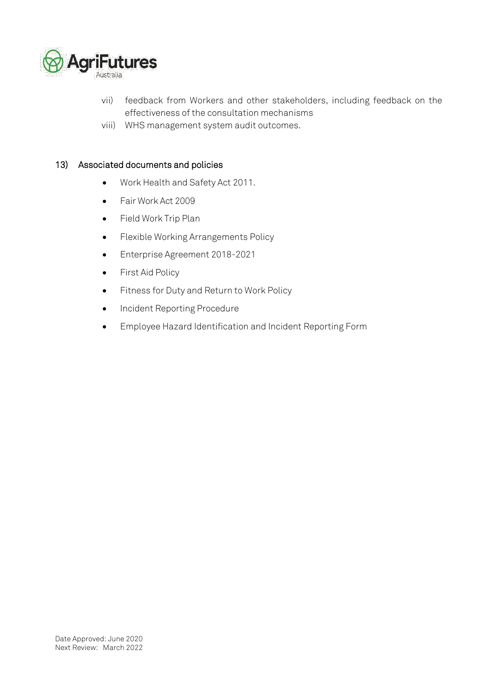

- vii) feedback from Workers and other stakeholders, including feedback on the effectiveness of the consultation mechanisms
- viii) WHS management system audit outcomes.

#### 13) Associated documents and policies

- Work Health and Safety Act 2011.
- Fair Work Act 2009
- Field Work Trip Plan
- Flexible Working Arrangements Policy
- Enterprise Agreement 2018-2021
- First Aid Policy
- Fitness for Duty and Return to Work Policy
- Incident Reporting Procedure
- Employee Hazard Identification and Incident Reporting Form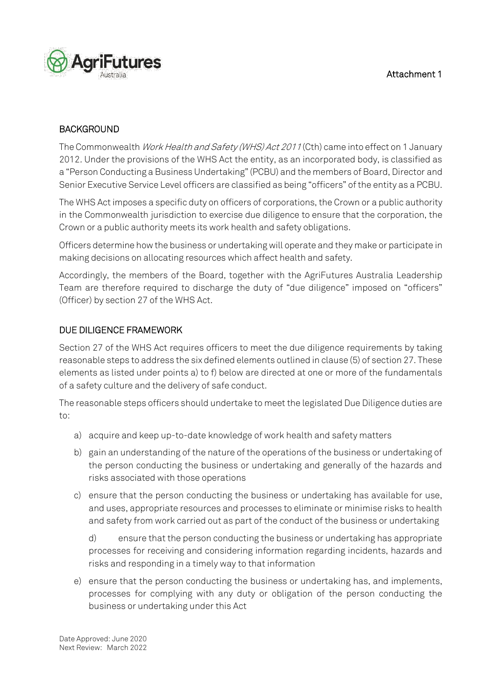

## BACKGROUND

The Commonwealth Work Health and Safety (WHS) Act 2011 (Cth) came into effect on 1 January 2012. Under the provisions of the WHS Act the entity, as an incorporated body, is classified as a "Person Conducting a Business Undertaking" (PCBU) and the members of Board, Director and Senior Executive Service Level officers are classified as being "officers" of the entity as a PCBU.

The WHS Act imposes a specific duty on officers of corporations, the Crown or a public authority in the Commonwealth jurisdiction to exercise due diligence to ensure that the corporation, the Crown or a public authority meets its work health and safety obligations.

Officers determine how the business or undertaking will operate and they make or participate in making decisions on allocating resources which affect health and safety.

Accordingly, the members of the Board, together with the AgriFutures Australia Leadership Team are therefore required to discharge the duty of "due diligence" imposed on "officers" (Officer) by section 27 of the WHS Act.

## DUE DILIGENCE FRAMEWORK

Section 27 of the WHS Act requires officers to meet the due diligence requirements by taking reasonable steps to address the six defined elements outlined in clause (5) of section 27. These elements as listed under points a) to f) below are directed at one or more of the fundamentals of a safety culture and the delivery of safe conduct.

The reasonable steps officers should undertake to meet the legislated Due Diligence duties are to:

- a) acquire and keep up-to-date knowledge of work health and safety matters
- b) gain an understanding of the nature of the operations of the business or undertaking of the person conducting the business or undertaking and generally of the hazards and risks associated with those operations
- c) ensure that the person conducting the business or undertaking has available for use, and uses, appropriate resources and processes to eliminate or minimise risks to health and safety from work carried out as part of the conduct of the business or undertaking

d) ensure that the person conducting the business or undertaking has appropriate processes for receiving and considering information regarding incidents, hazards and risks and responding in a timely way to that information

e) ensure that the person conducting the business or undertaking has, and implements, processes for complying with any duty or obligation of the person conducting the business or undertaking under this Act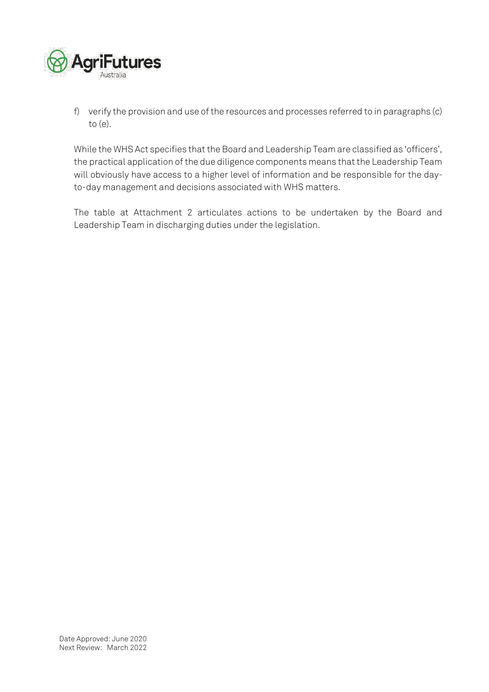

f) verify the provision and use of the resources and processes referred to in paragraphs (c) to (e).

While the WHS Act specifies that the Board and Leadership Team are classified as 'officers', the practical application of the due diligence components means that the Leadership Team will obviously have access to a higher level of information and be responsible for the dayto-day management and decisions associated with WHS matters.

The table at Attachment 2 articulates actions to be undertaken by the Board and Leadership Team in discharging duties under the legislation.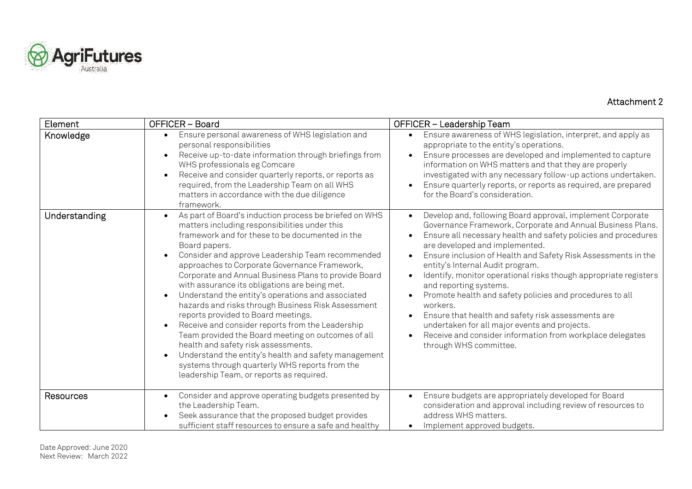

## Attachment 2

| Element       | OFFICER - Board                                                                                                                                                                                                                                                                                                                                                                                                                                                                                                                                                                                                                                                                                                                                                                                                                                                 | OFFICER - Leadership Team                                                                                                                                                                                                                                                                                                                                                                                                                                                                                                                                                                                                                                                                                                                                                           |
|---------------|-----------------------------------------------------------------------------------------------------------------------------------------------------------------------------------------------------------------------------------------------------------------------------------------------------------------------------------------------------------------------------------------------------------------------------------------------------------------------------------------------------------------------------------------------------------------------------------------------------------------------------------------------------------------------------------------------------------------------------------------------------------------------------------------------------------------------------------------------------------------|-------------------------------------------------------------------------------------------------------------------------------------------------------------------------------------------------------------------------------------------------------------------------------------------------------------------------------------------------------------------------------------------------------------------------------------------------------------------------------------------------------------------------------------------------------------------------------------------------------------------------------------------------------------------------------------------------------------------------------------------------------------------------------------|
| Knowledge     | Ensure personal awareness of WHS legislation and<br>$\bullet$<br>personal responsibilities<br>Receive up-to-date information through briefings from<br>WHS professionals eg Comcare<br>Receive and consider quarterly reports, or reports as<br>required, from the Leadership Team on all WHS<br>matters in accordance with the due diligence<br>framework.                                                                                                                                                                                                                                                                                                                                                                                                                                                                                                     | Ensure awareness of WHS legislation, interpret, and apply as<br>$\bullet$<br>appropriate to the entity's operations.<br>Ensure processes are developed and implemented to capture<br>$\bullet$<br>information on WHS matters and that they are properly<br>investigated with any necessary follow-up actions undertaken.<br>Ensure quarterly reports, or reports as required, are prepared<br>$\bullet$<br>for the Board's consideration.                                                                                                                                                                                                                                                                                                                                           |
| Understanding | As part of Board's induction process be briefed on WHS<br>$\bullet$<br>matters including responsibilities under this<br>framework and for these to be documented in the<br>Board papers.<br>Consider and approve Leadership Team recommended<br>approaches to Corporate Governance Framework,<br>Corporate and Annual Business Plans to provide Board<br>with assurance its obligations are being met.<br>Understand the entity's operations and associated<br>hazards and risks through Business Risk Assessment<br>reports provided to Board meetings.<br>Receive and consider reports from the Leadership<br>Team provided the Board meeting on outcomes of all<br>health and safety risk assessments.<br>Understand the entity's health and safety management<br>systems through quarterly WHS reports from the<br>leadership Team, or reports as required. | Develop and, following Board approval, implement Corporate<br>$\bullet$<br>Governance Framework, Corporate and Annual Business Plans.<br>Ensure all necessary health and safety policies and procedures<br>are developed and implemented.<br>Ensure inclusion of Health and Safety Risk Assessments in the<br>$\bullet$<br>entity's Internal Audit program.<br>Identify, monitor operational risks though appropriate registers<br>$\bullet$<br>and reporting systems.<br>Promote health and safety policies and procedures to all<br>$\bullet$<br>workers.<br>Ensure that health and safety risk assessments are<br>$\bullet$<br>undertaken for all major events and projects.<br>Receive and consider information from workplace delegates<br>$\bullet$<br>through WHS committee. |
| Resources     | Consider and approve operating budgets presented by<br>$\bullet$<br>the Leadership Team.<br>Seek assurance that the proposed budget provides<br>sufficient staff resources to ensure a safe and healthy                                                                                                                                                                                                                                                                                                                                                                                                                                                                                                                                                                                                                                                         | Ensure budgets are appropriately developed for Board<br>$\bullet$<br>consideration and approval including review of resources to<br>address WHS matters.<br>Implement approved budgets.<br>$\bullet$                                                                                                                                                                                                                                                                                                                                                                                                                                                                                                                                                                                |